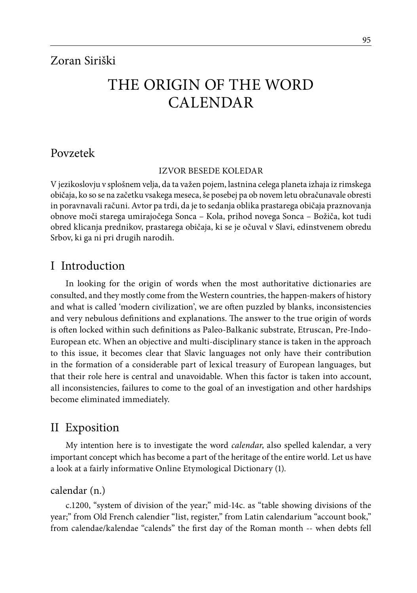# THE ORIGIN OF THE WORD CALENDAR

## Povzetek

#### IZVOR BESEDE KOLEDAR

V jezikoslovju v splošnem velja, da ta važen pojem, lastnina celega planeta izhaja iz rimskega običaja, ko so se na začetku vsakega meseca, še posebej pa ob novem letu obračunavale obresti in poravnavali računi. Avtor pa trdi, da je to sedanja oblika prastarega običaja praznovanja obnove moči starega umirajočega Sonca – Kola, prihod novega Sonca – Božiča, kot tudi obred klicanja prednikov, prastarega običaja, ki se je očuval v Slavi, edinstvenem obredu Srbov, ki ga ni pri drugih narodih.

## I Introduction

In looking for the origin of words when the most authoritative dictionaries are consulted, and they mostly come from the Western countries, the happen-makers of history and what is called 'modern civilization', we are often puzzled by blanks, inconsistencies and very nebulous definitions and explanations. The answer to the true origin of words is often locked within such definitions as Paleo-Balkanic substrate, Etruscan, Pre-Indo-European etc. When an objective and multi-disciplinary stance is taken in the approach to this issue, it becomes clear that Slavic languages not only have their contribution in the formation of a considerable part of lexical treasury of European languages, but that their role here is central and unavoidable. When this factor is taken into account, all inconsistencies, failures to come to the goal of an investigation and other hardships become eliminated immediately.

# II Exposition

My intention here is to investigate the word *calendar*, also spelled kalendar, a very important concept which has become a part of the heritage of the entire world. Let us have a look at a fairly informative Online Etymological Dictionary (1).

#### calendar (n.)

c.1200, "system of division of the year;" mid-14c. as "table showing divisions of the year;" from Old French calendier "list, register," from Latin calendarium "account book," from calendae/kalendae "calends" the first day of the Roman month -- when debts fell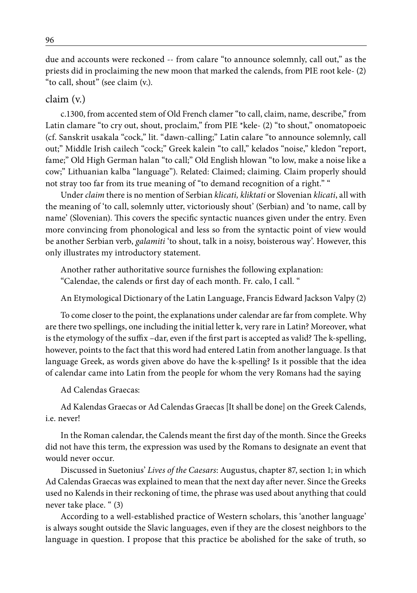due and accounts were reckoned -- from calare "to announce solemnly, call out," as the priests did in proclaiming the new moon that marked the calends, from PIE root kele- (2) "to call, shout" (see claim (v.).

#### claim (v.)

c.1300, from accented stem of Old French clamer "to call, claim, name, describe," from Latin clamare "to cry out, shout, proclaim," from PIE \*kele- (2) "to shout," onomatopoeic (cf. Sanskrit usakala "cock," lit. "dawn-calling;" Latin calare "to announce solemnly, call out;" Middle Irish cailech "cock;" Greek kalein "to call," kelados "noise," kledon "report, fame;" Old High German halan "to call;" Old English hlowan "to low, make a noise like a cow;" Lithuanian kalba "language"). Related: Claimed; claiming. Claim properly should not stray too far from its true meaning of "to demand recognition of a right." "

Under *claim* there is no mention of Serbian *klicati, kliktati* or Slovenian *klicati*, all with the meaning of 'to call, solemnly utter, victoriously shout' (Serbian) and 'to name, call by name' (Slovenian). This covers the specific syntactic nuances given under the entry. Even more convincing from phonological and less so from the syntactic point of view would be another Serbian verb, *galamiti* 'to shout, talk in a noisy, boisterous way'. However, this only illustrates my introductory statement.

Another rather authoritative source furnishes the following explanation: "Calendae, the calends or first day of each month. Fr. calo, I call. "

An Etymological Dictionary of the Latin Language, Francis Edward Jackson Valpy (2)

To come closer to the point, the explanations under calendar are far from complete. Why are there two spellings, one including the initial letter k, very rare in Latin? Moreover, what is the etymology of the suffix –dar, even if the first part is accepted as valid? The k-spelling, however, points to the fact that this word had entered Latin from another language. Is that language Greek, as words given above do have the k-spelling? Is it possible that the idea of calendar came into Latin from the people for whom the very Romans had the saying

Ad Calendas Graecas:

Ad Kalendas Graecas or Ad Calendas Graecas [It shall be done] on the Greek Calends, i.e. never!

In the Roman calendar, the Calends meant the first day of the month. Since the Greeks did not have this term, the expression was used by the Romans to designate an event that would never occur.

Discussed in Suetonius' *Lives of the Caesars*: Augustus, chapter 87, section 1; in which Ad Calendas Graecas was explained to mean that the next day after never. Since the Greeks used no Kalends in their reckoning of time, the phrase was used about anything that could never take place. " (3)

According to a well-established practice of Western scholars, this 'another language' is always sought outside the Slavic languages, even if they are the closest neighbors to the language in question. I propose that this practice be abolished for the sake of truth, so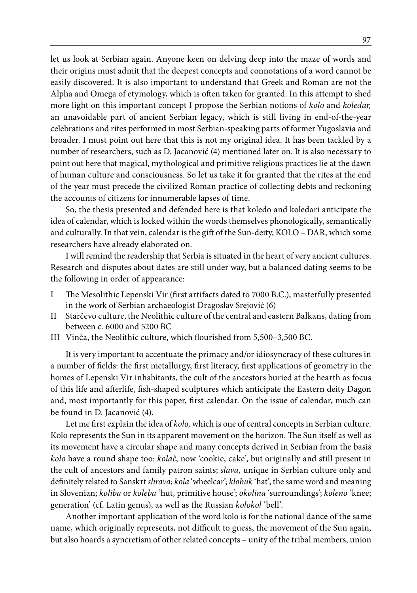let us look at Serbian again. Anyone keen on delving deep into the maze of words and their origins must admit that the deepest concepts and connotations of a word cannot be easily discovered. It is also important to understand that Greek and Roman are not the Alpha and Omega of etymology, which is often taken for granted. In this attempt to shed more light on this important concept I propose the Serbian notions of *kolo* and *koledar,*  an unavoidable part of ancient Serbian legacy, which is still living in end-of-the-year celebrations and rites performed in most Serbian-speaking parts of former Yugoslavia and broader. I must point out here that this is not my original idea. It has been tackled by a number of researchers, such as D. Jacanović (4) mentioned later on. It is also necessary to point out here that magical, mythological and primitive religious practices lie at the dawn of human culture and consciousness. So let us take it for granted that the rites at the end of the year must precede the civilized Roman practice of collecting debts and reckoning the accounts of citizens for innumerable lapses of time.

So, the thesis presented and defended here is that koledo and koledari anticipate the idea of calendar, which is locked within the words themselves phonologically, semantically and culturally. In that vein, calendar is the gift of the Sun-deity, KOLO – DAR, which some researchers have already elaborated on.

I will remind the readership that Serbia is situated in the heart of very ancient cultures. Research and disputes about dates are still under way, but a balanced dating seems to be the following in order of appearance:

- I The Mesolithic Lepenski Vir (first artifacts dated to 7000 B.C.), masterfully presented in the work of Serbian archaeologist Dragoslav Srejović (6)
- II Starčevo culture, the Neolithic culture of the central and eastern Balkans, dating from between c. 6000 and 5200 BC
- III Vinča, the Neolithic culture, which flourished from 5,500–3,500 BC.

It is very important to accentuate the primacy and/or idiosyncracy of these cultures in a number of fields: the first metallurgy, first literacy, first applications of geometry in the homes of Lepenski Vir inhabitants, the cult of the ancestors buried at the hearth as focus of this life and afterlife, fish-shaped sculptures which anticipate the Eastern deity Dagon and, most importantly for this paper, first calendar. On the issue of calendar, much can be found in D. Jacanović (4).

Let me first explain the idea of *kolo,* which is one of central concepts in Serbian culture. Kolo represents the Sun in its apparent movement on the horizon. The Sun itself as well as its movement have a circular shape and many concepts derived in Serbian from the basis *kolo* have a round shape too: *kolač*, now 'cookie, cake', but originally and still present in the cult of ancestors and family patron saints; *slava,* unique in Serbian culture only and definitely related to Sanskrt *shrava*; *kola* 'wheelcar'; *klobuk* 'hat', the same word and meaning in Slovenian; *koliba* or *koleba* 'hut, primitive house'; *okolina* 'surroundings'; *koleno* 'knee; generation' (cf. Latin genus), as well as the Russian *kolokol* 'bell'.

Another important application of the word kolo is for the national dance of the same name, which originally represents, not difficult to guess, the movement of the Sun again, but also hoards a syncretism of other related concepts – unity of the tribal members, union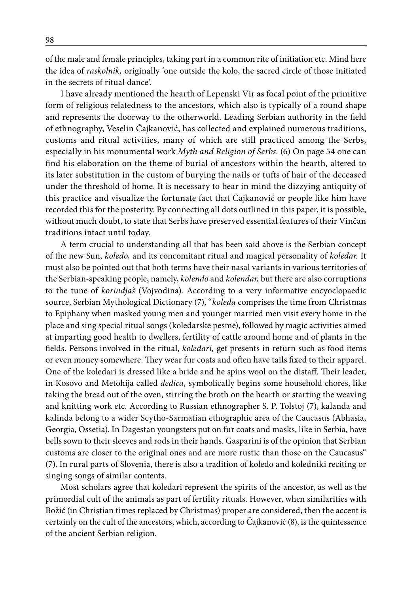of the male and female principles, taking part in a common rite of initiation etc. Mind here the idea of *raskolnik,* originally 'one outside the kolo, the sacred circle of those initiated in the secrets of ritual dance'.

I have already mentioned the hearth of Lepenski Vir as focal point of the primitive form of religious relatedness to the ancestors, which also is typically of a round shape and represents the doorway to the otherworld. Leading Serbian authority in the field of ethnography, Veselin Čajkanović, has collected and explained numerous traditions, customs and ritual activities, many of which are still practiced among the Serbs, especially in his monumental work *Myth and Religion of Serbs.* (6) On page 54 one can find his elaboration on the theme of burial of ancestors within the hearth, altered to its later substitution in the custom of burying the nails or tufts of hair of the deceased under the threshold of home. It is necessary to bear in mind the dizzying antiquity of this practice and visualize the fortunate fact that Čajkanović or people like him have recorded this for the posterity. By connecting all dots outlined in this paper, it is possible, without much doubt, to state that Serbs have preserved essential features of their Vinčan traditions intact until today.

A term crucial to understanding all that has been said above is the Serbian concept of the new Sun, *koledo,* and its concomitant ritual and magical personality of *koledar.* It must also be pointed out that both terms have their nasal variants in various territories of the Serbian-speaking people, namely, *kolendo* and *kolendar,* but there are also corruptions to the tune of *korindjaš* (Vojvodina). According to a very informative encyoclopaedic source, Serbian Mythological Dictionary (7), "*koleda* comprises the time from Christmas to Epiphany when masked young men and younger married men visit every home in the place and sing special ritual songs (koledarske pesme), followed by magic activities aimed at imparting good health to dwellers, fertility of cattle around home and of plants in the fields. Persons involved in the ritual, *koledari,* get presents in return such as food items or even money somewhere. They wear fur coats and often have tails fixed to their apparel. One of the koledari is dressed like a bride and he spins wool on the distaff. Their leader, in Kosovo and Metohija called *dedica,* symbolically begins some household chores, like taking the bread out of the oven, stirring the broth on the hearth or starting the weaving and knitting work etc. According to Russian ethnographer S. P. Tolstoj (7), kalanda and kalinda belong to a wider Scytho-Sarmatian ethographic area of the Caucasus (Abhasia, Georgia, Ossetia). In Dagestan youngsters put on fur coats and masks, like in Serbia, have bells sown to their sleeves and rods in their hands. Gasparini is of the opinion that Serbian customs are closer to the original ones and are more rustic than those on the Caucasus" (7). In rural parts of Slovenia, there is also a tradition of koledo and koledniki reciting or singing songs of similar contents.

Most scholars agree that koledari represent the spirits of the ancestor, as well as the primordial cult of the animals as part of fertility rituals. However, when similarities with Božić (in Christian times replaced by Christmas) proper are considered, then the accent is certainly on the cult of the ancestors, which, according to Čajkanović (8), is the quintessence of the ancient Serbian religion.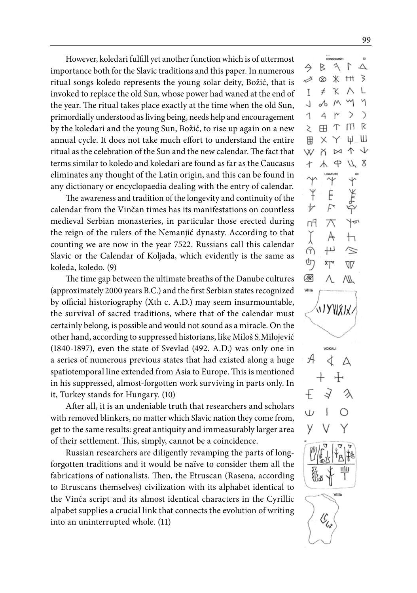However, koledari fulfill yet another function which is of uttermost importance both for the Slavic traditions and this paper. In numerous ritual songs koledo represents the young solar deity, Božić, that is invoked to replace the old Sun, whose power had waned at the end of the year. The ritual takes place exactly at the time when the old Sun, primordially understood as living being, needs help and encouragement by the koledari and the young Sun, Božić, to rise up again on a new annual cycle. It does not take much effort to understand the entire ritual as the celebration of the Sun and the new calendar. The fact that terms similar to koledo and koledari are found as far as the Caucasus eliminates any thought of the Latin origin, and this can be found in any dictionary or encyclopaedia dealing with the entry of calendar.

The awareness and tradition of the longevity and continuity of the calendar from the Vinčan times has its manifestations on countless medieval Serbian monasteries, in particular those erected during the reign of the rulers of the Nemanjić dynasty. According to that counting we are now in the year 7522. Russians call this calendar Slavic or the Calendar of Koljada, which evidently is the same as koleda, koledo. (9)

The time gap between the ultimate breaths of the Danube cultures (approximately 2000 years B.C.) and the first Serbian states recognized by official historiography (Xth c. A.D.) may seem insurmountable, the survival of sacred traditions, where that of the calendar must certainly belong, is possible and would not sound as a miracle. On the other hand, according to suppressed historians, like Miloš S.Milojević (1840-1897), even the state of Svevlad (492. A.D.) was only one in a series of numerous previous states that had existed along a huge spatiotemporal line extended from Asia to Europe. This is mentioned in his suppressed, almost-forgotten work surviving in parts only. In it, Turkey stands for Hungary. (10)

After all, it is an undeniable truth that researchers and scholars with removed blinkers, no matter which Slavic nation they come from, get to the same results: great antiquity and immeasurably larger area of their settlement. This, simply, cannot be a coincidence.

Russian researchers are diligently revamping the parts of longforgotten traditions and it would be naïve to consider them all the fabrications of nationalists. Then, the Etruscan (Rasena, according to Etruscans themselves) civilization with its alphabet identical to the Vinča script and its almost identical characters in the Cyrillic alpabet supplies a crucial link that connects the evolution of writing into an uninterrupted whole. (11)

 $\triangleright$  $3<sup>1</sup>$  $\triangle$ 今 ⇙ **⊗ 米 Ⅲ** 3 K  $\neq$ T M  $\delta$  $M$ J 1  $\overline{A}$ > C  $\Box$ R  $\Upsilon$  $\geq$ **FR** Ψ Ш  $\times$ Y  $\times$  $\overline{\mathbb{M}}$ 个  $\downarrow$ W  $4418$  $\overline{t}$ ¥ Ė ⊬ Ę Ym гń 大  $\vdash$  $\overline{ }\mu$ G)  $\scriptstyle\approx$ ூ ۳Ţ V ▩ ΛW VIII **₩XXX** VOKAL ď Δ  $\mathcal{C}_{\zeta_{\mathfrak{u}^{\circ}}}$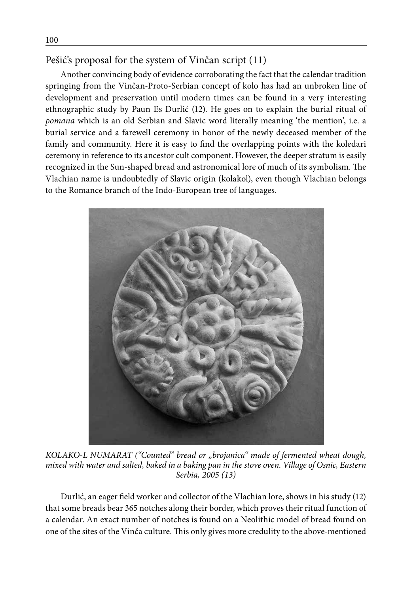### Pešić's proposal for the system of Vinčan script (11)

Another convincing body of evidence corroborating the fact that the calendar tradition springing from the Vinčan-Proto-Serbian concept of kolo has had an unbroken line of development and preservation until modern times can be found in a very interesting ethnographic study by Paun Es Durlić (12). He goes on to explain the burial ritual of *pomana* which is an old Serbian and Slavic word literally meaning 'the mention', i.e. a burial service and a farewell ceremony in honor of the newly deceased member of the family and community. Here it is easy to find the overlapping points with the koledari ceremony in reference to its ancestor cult component. However, the deeper stratum is easily recognized in the Sun-shaped bread and astronomical lore of much of its symbolism. The Vlachian name is undoubtedly of Slavic origin (kolakol), even though Vlachian belongs to the Romance branch of the Indo-European tree of languages.



*KOLAKO-L NUMARAT ("Counted" bread or "brojanica" made of fermented wheat dough, mixed with water and salted, baked in a baking pan in the stove oven. Village of Osnic, Eastern Serbia, 2005 (13)*

Durlić, an eager field worker and collector of the Vlachian lore, shows in his study (12) that some breads bear 365 notches along their border, which proves their ritual function of a calendar. An exact number of notches is found on a Neolithic model of bread found on one of the sites of the Vinča culture. This only gives more credulity to the above-mentioned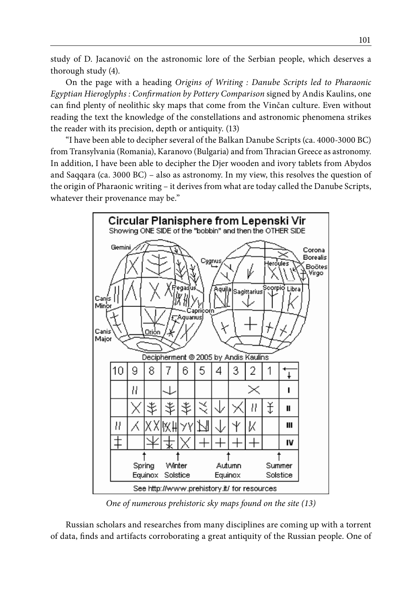study of D. Jacanović on the astronomic lore of the Serbian people, which deserves a thorough study (4).

On the page with a heading *Origins of Writing : Danube Scripts led to Pharaonic Egyptian Hieroglyphs : Confirmation by Pottery Comparison* signed by Andis Kaulins, one can find plenty of neolithic sky maps that come from the Vinčan culture. Even without reading the text the knowledge of the constellations and astronomic phenomena strikes the reader with its precision, depth or antiquity. (13)

"I have been able to decipher several of the Balkan Danube Scripts (ca. 4000-3000 BC) from Transylvania (Romania), Karanovo (Bulgaria) and from Thracian Greece as astronomy. In addition, I have been able to decipher the Djer wooden and ivory tablets from Abydos and Saqqara (ca. 3000 BC) – also as astronomy. In my view, this resolves the question of the origin of Pharaonic writing – it derives from what are today called the Danube Scripts, whatever their provenance may be."



*One of numerous prehistoric sky maps found on the site (13)*

Russian scholars and researches from many disciplines are coming up with a torrent of data, finds and artifacts corroborating a great antiquity of the Russian people. One of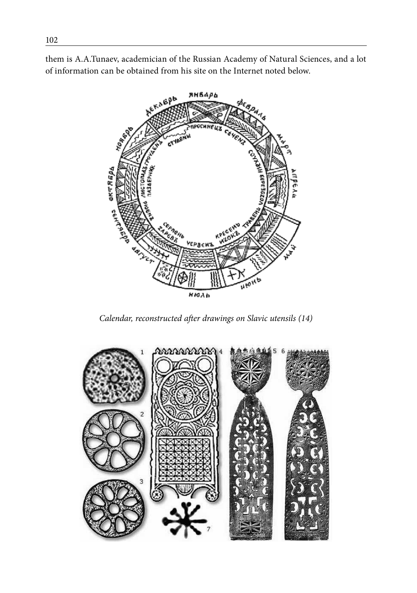them is A.A.Tunaev, academician of the Russian Academy of Natural Sciences, and a lot of information can be obtained from his site on the Internet noted below.



*Calendar, reconstructed after drawings on Slavic utensils (14)*

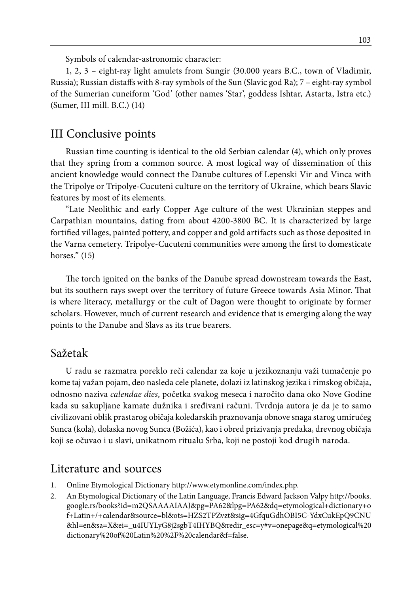Symbols of calendar-astronomic character:

1, 2, 3 – eight-ray light amulets from Sungir (30.000 years B.C., town of Vladimir, Russia); Russian distaffs with 8-ray symbols of the Sun (Slavic god Ra); 7 – eight-ray symbol of the Sumerian cuneiform 'God' (other names 'Star', goddess Ishtar, Astarta, Istra etc.) (Sumer, III mill. B.C.) (14)

# III Conclusive points

Russian time counting is identical to the old Serbian calendar (4), which only proves that they spring from a common source. A most logical way of dissemination of this ancient knowledge would connect the Danube cultures of Lepenski Vir and Vinca with the Tripolye or Tripolye-Cucuteni culture on the territory of Ukraine, which bears Slavic features by most of its elements.

"Late Neolithic and early Copper Age culture of the west Ukrainian steppes and Carpathian mountains, dating from about 4200-3800 BC. It is characterized by large fortified villages, painted pottery, and copper and gold artifacts such as those deposited in the Varna cemetery. Tripolye-Cucuteni communities were among the first to domesticate horses." (15)

The torch ignited on the banks of the Danube spread downstream towards the East, but its southern rays swept over the territory of future Greece towards Asia Minor. That is where literacy, metallurgy or the cult of Dagon were thought to originate by former scholars. However, much of current research and evidence that is emerging along the way points to the Danube and Slavs as its true bearers.

# Sažetak

U radu se razmatra poreklo reči calendar za koje u jezikoznanju važi tumačenje po kome taj važan pojam, deo nasleđa cele planete, dolazi iz latinskog jezika i rimskog običaja, odnosno naziva *calendae dies*, početka svakog meseca i naročito dana oko Nove Godine kada su sakupljane kamate dužnika i sređivani računi. Tvrdnja autora je da je to samo civilizovani oblik prastarog običaja koledarskih praznovanja obnove snaga starog umirućeg Sunca (kola), dolaska novog Sunca (Božića), kao i obred prizivanja predaka, drevnog običaja koji se očuvao i u slavi, unikatnom ritualu Srba, koji ne postoji kod drugih naroda.

# Literature and sources

- 1. Online Etymological Dictionary http://www.etymonline.com/index.php.
- 2. An Etymological Dictionary of the Latin Language, Francis Edward Jackson Valpy http://books. google.rs/books?id=m2QSAAAAIAAJ&pg=PA62&lpg=PA62&dq=etymological+dictionary+o f+Latin+/+calendar&source=bl&ots=HZS2TPZvzt&sig=4GfquGdhOBI5C-YdxCukEpQ9CNU &hl=en&sa=X&ei=\_u4IUYLyG8j2sgbT4IHYBQ&redir\_esc=y#v=onepage&q=etymological%20 dictionary%20of%20Latin%20%2F%20calendar&f=false.